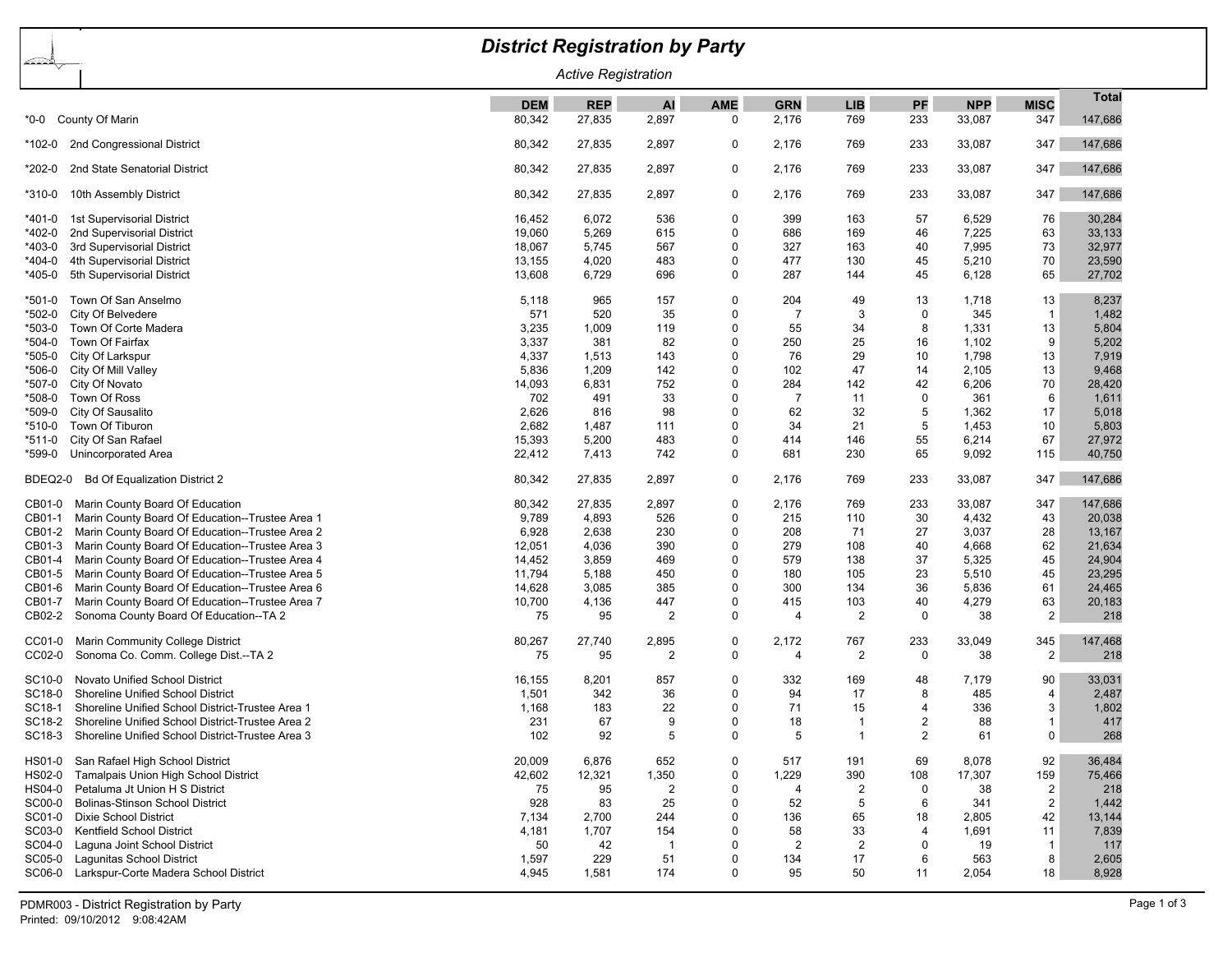|                                          |                                                         | <b>District Registration by Party</b> |            |                |             |                |            |                |            |                         |              |  |
|------------------------------------------|---------------------------------------------------------|---------------------------------------|------------|----------------|-------------|----------------|------------|----------------|------------|-------------------------|--------------|--|
| <b>ARA</b><br><b>Active Registration</b> |                                                         |                                       |            |                |             |                |            |                |            |                         |              |  |
|                                          |                                                         | <b>DEM</b>                            | <b>REP</b> | AI             | <b>AME</b>  | <b>GRN</b>     | <b>LIB</b> | PF             | <b>NPP</b> | <b>MISC</b>             | <b>Total</b> |  |
| *0-0                                     | County Of Marin                                         | 80,342                                | 27,835     | 2,897          | 0           | 2,176          | 769        | 233            | 33,087     | 347                     | 147,686      |  |
| *102-0                                   | 2nd Congressional District                              | 80,342                                | 27,835     | 2,897          | 0           | 2,176          | 769        | 233            | 33,087     | 347                     | 147,686      |  |
| *202-0                                   | 2nd State Senatorial District                           | 80,342                                | 27,835     | 2,897          | 0           | 2,176          | 769        | 233            | 33,087     | 347                     | 147,686      |  |
| *310-0                                   | 10th Assembly District                                  | 80,342                                | 27,835     | 2,897          | 0           | 2,176          | 769        | 233            | 33,087     | 347                     | 147,686      |  |
| *401-0                                   | 1st Supervisorial District                              | 16,452                                | 6,072      | 536            | 0           | 399            | 163        | 57             | 6,529      | 76                      | 30,284       |  |
| *402-0                                   | 2nd Supervisorial District                              | 19,060                                | 5,269      | 615            | 0           | 686            | 169        | 46             | 7,225      | 63                      | 33,133       |  |
| *403-0                                   | 3rd Supervisorial District                              | 18,067                                | 5,745      | 567            | 0           | 327            | 163        | 40             | 7,995      | 73                      | 32,977       |  |
| *404-0                                   | 4th Supervisorial District                              | 13,155                                | 4,020      | 483            | 0           | 477            | 130        | 45             | 5,210      | 70                      | 23,590       |  |
| *405-0                                   | 5th Supervisorial District                              | 13,608                                | 6,729      | 696            | 0           | 287            | 144        | 45             | 6,128      | 65                      | 27,702       |  |
| *501-0                                   | Town Of San Anselmo                                     | 5,118                                 | 965        | 157            | 0           | 204            | 49         | 13             | 1,718      | 13                      | 8,237        |  |
| *502-0                                   | City Of Belvedere                                       | 571                                   | 520        | 35             | 0           | $\overline{7}$ | 3          | $\mathbf 0$    | 345        | $\mathbf{1}$            | 1,482        |  |
| *503-0                                   | Town Of Corte Madera                                    | 3,235                                 | 1,009      | 119            | $\Omega$    | 55             | 34         | 8              | 1,331      | 13                      | 5,804        |  |
| *504-0                                   | Town Of Fairfax                                         | 3,337                                 | 381        | 82             | 0           | 250            | 25         | 16             | 1,102      | 9                       | 5,202        |  |
| *505-0                                   | City Of Larkspur                                        | 4,337                                 | 1,513      | 143            | $\Omega$    | 76             | 29         | 10             | 1,798      | 13                      | 7,919        |  |
| *506-0                                   | City Of Mill Valley                                     | 5,836                                 | 1,209      | 142            | $\Omega$    | 102            | 47         | 14             | 2,105      | 13                      | 9,468        |  |
| *507-0                                   | City Of Novato                                          | 14,093                                | 6,831      | 752            | 0           | 284            | 142        | 42             | 6,206      | 70                      | 28,420       |  |
| *508-0                                   | Town Of Ross                                            | 702                                   | 491        | 33             | $\mathbf 0$ | $\overline{7}$ | 11         | $\mathbf 0$    | 361        | 6                       | 1,611        |  |
| *509-0                                   | City Of Sausalito                                       | 2,626                                 | 816        | 98             | $\mathbf 0$ | 62             | 32         | 5              | 1,362      | 17                      | 5,018        |  |
| *510-0                                   | Town Of Tiburon                                         | 2,682                                 | 1,487      | 111            | $\mathbf 0$ | 34             | 21         | 5              | 1,453      | 10                      | 5,803        |  |
| *511-0                                   | City Of San Rafael                                      | 15,393                                | 5,200      | 483            | $\Omega$    | 414            | 146        | 55             | 6,214      | 67                      | 27,972       |  |
| *599-0                                   | Unincorporated Area                                     | 22,412                                | 7,413      | 742            | $\mathbf 0$ | 681            | 230        | 65             | 9,092      | 115                     | 40,750       |  |
| BDEQ2-0                                  | <b>Bd Of Equalization District 2</b>                    | 80,342                                | 27,835     | 2,897          | 0           | 2,176          | 769        | 233            | 33,087     | 347                     | 147,686      |  |
| CB01-0                                   | Marin County Board Of Education                         | 80,342                                | 27,835     | 2,897          | 0           | 2,176          | 769        | 233            | 33,087     | 347                     | 147,686      |  |
| CB01-1                                   | Marin County Board Of Education--Trustee Area 1         | 9,789                                 | 4,893      | 526            | 0           | 215            | 110        | 30             | 4,432      | 43                      | 20,038       |  |
| CB01-2                                   | Marin County Board Of Education--Trustee Area 2         | 6,928                                 | 2,638      | 230            | 0           | 208            | 71         | 27             | 3,037      | 28                      | 13,167       |  |
| CB01-3                                   | Marin County Board Of Education--Trustee Area 3         | 12,051                                | 4,036      | 390            | $\Omega$    | 279            | 108        | 40             | 4,668      | 62                      | 21,634       |  |
| CB01-4                                   | Marin County Board Of Education--Trustee Area 4         | 14,452                                | 3,859      | 469            | 0           | 579            | 138        | 37             | 5,325      | 45                      | 24,904       |  |
| CB01-5                                   | Marin County Board Of Education--Trustee Area 5         | 11,794                                | 5,188      | 450            | 0           | 180            | 105        | 23             | 5,510      | 45                      | 23,295       |  |
| CB01-6                                   | Marin County Board Of Education--Trustee Area 6         | 14,628                                | 3,085      | 385            | $\Omega$    | 300            | 134        | 36             | 5,836      | 61                      | 24,465       |  |
| CB01-7                                   | Marin County Board Of Education--Trustee Area 7         | 10,700                                | 4,136      | 447            | 0           | 415            | 103        | 40             | 4,279      | 63                      | 20,183       |  |
| CB02-2                                   | Sonoma County Board Of Education--TA 2                  | 75                                    | 95         | $\overline{2}$ | 0           | 4              | 2          | 0              | 38         | $\overline{c}$          | 218          |  |
| CC01-0                                   | Marin Community College District                        | 80,267                                | 27,740     | 2,895          | 0           | 2,172          | 767        | 233            | 33,049     | 345                     | 147,468      |  |
| CC02-0                                   | Sonoma Co. Comm. College Dist.--TA 2                    | 75                                    | 95         | $\overline{2}$ | $\mathbf 0$ | $\overline{4}$ | 2          | $\mathbf 0$    | 38         | 2                       | 218          |  |
| SC10-0                                   | Novato Unified School District                          | 16,155                                | 8,201      | 857            | $\Omega$    | 332            | 169        | 48             | 7,179      | 90                      | 33,031       |  |
| SC18-0                                   | Shoreline Unified School District                       | 1,501                                 | 342        | 36             | 0           | 94             | 17         | 8              | 485        | $\overline{4}$          | 2,487        |  |
| SC18-1                                   | Shoreline Unified School District-Trustee Area 1        | 1,168                                 | 183        | 22             | $\Omega$    | 71             | 15         | 4              | 336        | 3                       | 1,802        |  |
|                                          | SC18-2 Shoreline Unified School District-Trustee Area 2 | 231                                   | 67         | 9              | $\Omega$    | 18             | -1         | $\overline{2}$ | 88         | $\overline{\mathbf{1}}$ | 417          |  |
| SC18-3                                   | Shoreline Unified School District-Trustee Area 3        | 102                                   | 92         | 5              |             | 5              |            | 2              | 61         | $\mathbf{0}$            |              |  |
|                                          |                                                         |                                       |            |                |             |                |            |                |            |                         | 268          |  |
| HS01-0                                   | San Rafael High School District                         | 20,009                                | 6,876      | 652            | 0           | 517            | 191        | 69             | 8,078      | 92                      | 36,484       |  |
|                                          | HS02-0 Tamalpais Union High School District             | 42,602                                | 12,321     | 1,350          | 0           | 1,229          | 390        | 108            | 17,307     | 159                     | 75,466       |  |
| HS04-0                                   | Petaluma Jt Union H S District                          | 75                                    | 95         | $\overline{2}$ | 0           | 4              | 2          | 0              | 38         | $\overline{c}$          | 218          |  |
| SC00-0                                   | <b>Bolinas-Stinson School District</b>                  | 928                                   | 83         | 25             | 0           | 52             | 5          | 6              | 341        | $\overline{c}$          | 1,442        |  |
| SC01-0                                   | <b>Dixie School District</b>                            | 7,134                                 | 2,700      | 244            | 0           | 136            | 65         | 18             | 2,805      | 42                      | 13,144       |  |
| SC03-0                                   | <b>Kentfield School District</b>                        | 4,181                                 | 1,707      | 154            | $\Omega$    | 58             | 33         | $\overline{4}$ | 1,691      | 11                      | 7,839        |  |
| SC04-0                                   | Laguna Joint School District                            | 50                                    | 42         | $\overline{1}$ | 0           | $\overline{2}$ | 2          | $\mathbf 0$    | 19         | $\mathbf{1}$            | 117          |  |
|                                          | SC05-0 Lagunitas School District                        | 1,597                                 | 229        | 51             | 0           | 134            | 17         | 6              | 563        | 8                       | 2,605        |  |
|                                          | SC06-0 Larkspur-Corte Madera School District            | 4,945                                 | 1,581      | 174            | $\Omega$    | 95             | 50         | 11             | 2,054      | 18                      | 8,928        |  |
|                                          |                                                         |                                       |            |                |             |                |            |                |            |                         |              |  |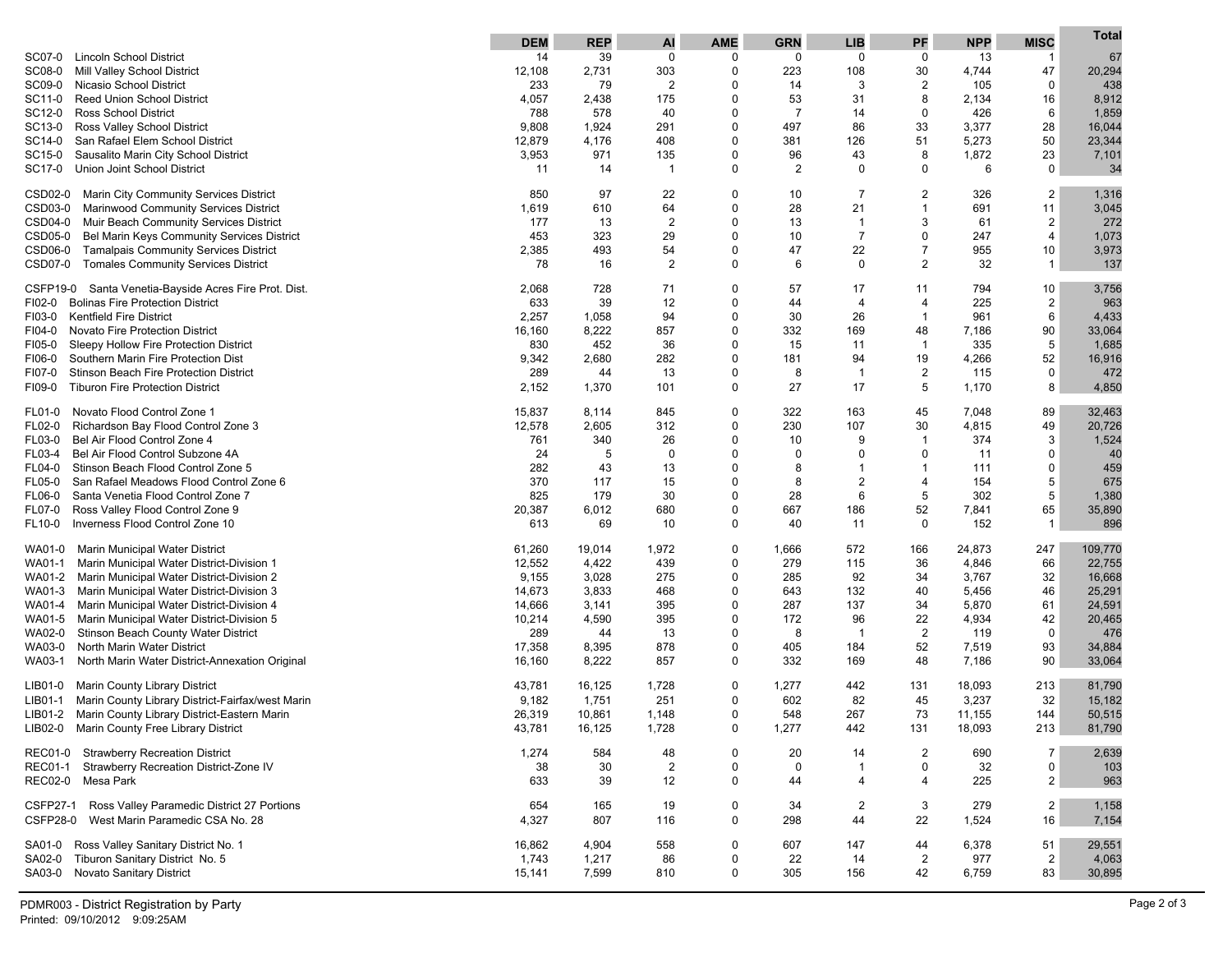|                                                               | <b>DEM</b> | <b>REP</b> | AI             | <b>AME</b>    | <b>GRN</b>     | <b>LIB</b>     | PF             | <b>NPP</b> | <b>MISC</b>    | <b>Total</b> |
|---------------------------------------------------------------|------------|------------|----------------|---------------|----------------|----------------|----------------|------------|----------------|--------------|
| <b>Lincoln School District</b><br>SC07-0                      | 14         | 39         | $\mathbf 0$    | $\mathbf 0$   | 0              | $\mathbf 0$    | 0              | 13         | $\mathbf 1$    | 67           |
| SC08-0<br>Mill Valley School District                         | 12,108     | 2,731      | 303            | 0             | 223            | 108            | 30             | 4,744      | 47             | 20,294       |
| SC09-0<br>Nicasio School District                             | 233        | 79         | $\overline{2}$ | 0             | 14             | 3              | $\overline{2}$ | 105        | $\mathbf 0$    | 438          |
| <b>Reed Union School District</b><br>SC11-0                   | 4,057      | 2,438      | 175            | $\Omega$      | 53             | 31             | 8              | 2,134      | 16             | 8,912        |
| <b>Ross School District</b><br>SC12-0                         | 788        | 578        | 40             | 0             | $\overline{7}$ | 14             | 0              | 426        | 6              | 1,859        |
| SC13-0<br>Ross Valley School District                         | 9,808      | 1,924      | 291            | $\Omega$      | 497            | 86             | 33             | 3,377      | 28             | 16,044       |
| San Rafael Elem School District<br>SC14-0                     | 12,879     | 4,176      | 408            | $\Omega$      | 381            | 126            | 51             | 5,273      | 50             | 23,344       |
| Sausalito Marin City School District<br>SC15-0                | 3,953      | 971        | 135            | $\Omega$      | 96             | 43             | 8              | 1,872      | 23             | 7,101        |
| Union Joint School District<br>SC17-0                         | 11         | 14         |                | 0             | 2              | 0              | $\Omega$       | 6          | $\mathbf 0$    | 34           |
| CSD02-0<br>Marin City Community Services District             | 850        | 97         | 22             | 0             | 10             | 7              | 2              | 326        | 2              | 1,316        |
| CSD03-0<br>Marinwood Community Services District              | 1,619      | 610        | 64             | $\Omega$      | 28             | 21             | 1              | 691        | 11             | 3,045        |
| CSD04-0 Muir Beach Community Services District                | 177        | 13         | $\overline{2}$ | $\Omega$      | 13             | $\mathbf{1}$   | 3              | 61         | $\overline{c}$ | 272          |
| CSD05-0<br>Bel Marin Keys Community Services District         | 453        | 323        | 29             | $\Omega$      | 10             | $\overline{7}$ | $\Omega$       | 247        | 4              | 1,073        |
| CSD06-0<br><b>Tamalpais Community Services District</b>       | 2,385      | 493        | 54             | $\Omega$      | 47             | 22             | $\overline{7}$ | 955        | 10             | 3,973        |
| CSD07-0<br><b>Tomales Community Services District</b>         | 78         | 16         | 2              | $\Omega$      | 6              | 0              | $\overline{2}$ | 32         | $\mathbf{1}$   | 137          |
| CSFP19-0<br>Santa Venetia-Bayside Acres Fire Prot. Dist.      | 2,068      | 728        | 71             | $\mathbf 0$   | 57             | 17             | 11             | 794        | 10             | 3,756        |
| <b>Bolinas Fire Protection District</b><br>FI02-0             | 633        | 39         | 12             | $\mathbf 0$   | 44             | 4              | 4              | 225        | $\overline{c}$ | 963          |
| <b>Kentfield Fire District</b><br>FI03-0                      | 2,257      | 1,058      | 94             | $\Omega$      | 30             | 26             | $\mathbf{1}$   | 961        | 6              | 4,433        |
| Novato Fire Protection District<br>FI04-0                     | 16,160     | 8,222      | 857            | $\Omega$      | 332            | 169            | 48             | 7,186      | 90             | 33,064       |
| Sleepy Hollow Fire Protection District<br>FI05-0              | 830        | 452        | 36             | 0             | 15             | 11             | $\mathbf 1$    | 335        | 5              | 1,685        |
| Southern Marin Fire Protection Dist<br>FI06-0                 | 9,342      | 2,680      | 282            | $\Omega$      | 181            | 94             | 19             | 4,266      | 52             | 16,916       |
| Stinson Beach Fire Protection District<br>FI07-0              | 289        | 44         | 13             | 0             | 8              | $\overline{1}$ | $\overline{2}$ | 115        | $\mathbf 0$    | 472          |
| <b>Tiburon Fire Protection District</b><br>FI09-0             | 2,152      | 1,370      | 101            | $\Omega$      | 27             | 17             | 5              | 1,170      | 8              | 4,850        |
| Novato Flood Control Zone 1<br>FL01-0                         | 15,837     | 8,114      | 845            | $\Omega$      | 322            | 163            | 45             | 7,048      | 89             | 32,463       |
| Richardson Bay Flood Control Zone 3<br>FL02-0                 | 12,578     | 2,605      | 312            | $\Omega$      | 230            | 107            | 30             | 4,815      | 49             | 20,726       |
| Bel Air Flood Control Zone 4<br>FL03-0                        | 761        | 340        | 26             | 0             | 10             | 9              | 1              | 374        | 3              | 1,524        |
| Bel Air Flood Control Subzone 4A<br>FL03-4                    | 24         | 5          | 0              | 0             | 0              | $\Omega$       | $\Omega$       | 11         | $\Omega$       | 40           |
| Stinson Beach Flood Control Zone 5<br>FL04-0                  | 282        | 43         | 13             | 0             | 8              | 1              | 1              | 111        | $\mathbf 0$    | 459          |
| San Rafael Meadows Flood Control Zone 6<br>FL05-0             | 370        | 117        | 15             | $\mathbf 0$   | 8              | 2              | 4              | 154        | 5              | 675          |
| Santa Venetia Flood Control Zone 7<br>FL06-0                  | 825        | 179        | 30             | $\Omega$      | 28             | 6              | 5              | 302        | 5              | 1,380        |
| Ross Valley Flood Control Zone 9<br>FL07-0                    | 20,387     | 6,012      | 680            | $\Omega$      | 667            | 186            | 52             | 7,841      | 65             | 35,890       |
| Inverness Flood Control Zone 10<br>FL10-0                     | 613        | 69         | 10             | $\Omega$      | 40             | 11             | $\mathbf 0$    | 152        | $\mathbf{1}$   | 896          |
| Marin Municipal Water District<br>WA01-0                      | 61,260     | 19,014     | 1,972          | 0             | 1,666          | 572            | 166            | 24,873     | 247            | 109,770      |
| Marin Municipal Water District-Division 1<br>WA01-1           | 12,552     | 4,422      | 439            | $\Omega$      | 279            | 115            | 36             | 4,846      | 66             | 22,755       |
| Marin Municipal Water District-Division 2<br>WA01-2           | 9,155      | 3,028      | 275            | $\Omega$      | 285            | 92             | 34             | 3,767      | 32             | 16,668       |
| Marin Municipal Water District-Division 3<br>WA01-3           | 14,673     | 3,833      | 468            | 0             | 643            | 132            | 40             | 5,456      | 46             | 25,291       |
| Marin Municipal Water District-Division 4<br>WA01-4           | 14,666     | 3,141      | 395            | 0             | 287            | 137            | 34             | 5,870      | 61             | 24,591       |
| WA01-5<br>Marin Municipal Water District-Division 5           | 10,214     | 4,590      | 395            | $\Omega$      | 172            | 96             | 22             | 4,934      | 42             | 20,465       |
| WA02-0<br>Stinson Beach County Water District                 | 289        | 44         | 13             | $\Omega$      | 8              | $\overline{1}$ | 2              | 119        | 0              | 476          |
| North Marin Water District<br>WA03-0                          | 17,358     | 8,395      | 878            | 0<br>$\Omega$ | 405<br>332     | 184            | 52             | 7,519      | 93<br>90       | 34,884       |
| WA03-1<br>North Marin Water District-Annexation Original      | 16,160     | 8,222      | 857            |               |                | 169            | 48             | 7,186      |                | 33,064       |
| <b>Marin County Library District</b><br>LIB01-0               | 43,781     | 16,125     | 1,728          | $\mathbf 0$   | 1,277          | 442            | 131            | 18,093     | 213            | 81,790       |
| Marin County Library District-Fairfax/west Marin<br>LIB01-1   | 9,182      | 1,751      | 251            | 0             | 602            | 82             | 45             | 3,237      | 32             | 15,182       |
| Marin County Library District-Eastern Marin<br>LIB01-2        | 26,319     | 10,861     | 1,148          | 0             | 548            | 267            | 73             | 11,155     | 144            | 50,515       |
| LIB02-0 Marin County Free Library District                    | 43,781     | 16,125     | 1,728          |               | 1,277          | 442            | 131            | 18,093     | 213            | 81,790       |
| REC01-0 Strawberry Recreation District                        | 1,274      | 584        | 48             | 0             | 20             | 14             | $\overline{2}$ | 690        | $\overline{7}$ | 2,639        |
| Strawberry Recreation District-Zone IV<br><b>REC01-1</b>      | 38         | 30         | $\overline{2}$ | 0             | 0              | $\mathbf{1}$   | 0              | 32         | 0              | 103          |
| REC02-0 Mesa Park                                             | 633        | 39         | 12             | $\mathbf 0$   | 44             | $\overline{4}$ | 4              | 225        | $\overline{2}$ | 963          |
| <b>CSFP27-1</b><br>Ross Valley Paramedic District 27 Portions | 654        | 165        | 19             | 0             | 34             | $\overline{c}$ | 3              | 279        | $\overline{2}$ | 1,158        |
| CSFP28-0 West Marin Paramedic CSA No. 28                      | 4,327      | 807        | 116            | $\mathbf 0$   | 298            | 44             | 22             | 1,524      | 16             | 7,154        |
| Ross Valley Sanitary District No. 1<br>SA01-0                 | 16,862     | 4,904      | 558            | 0             | 607            | 147            | 44             | 6,378      | 51             | 29,551       |
| Tiburon Sanitary District No. 5<br>SA02-0                     | 1,743      | 1,217      | 86             | 0             | 22             | 14             | $\overline{2}$ | 977        | $\overline{2}$ | 4,063        |
| Novato Sanitary District<br>SA03-0                            | 15,141     | 7,599      | 810            | 0             | 305            | 156            | 42             | 6,759      | 83             | 30,895       |